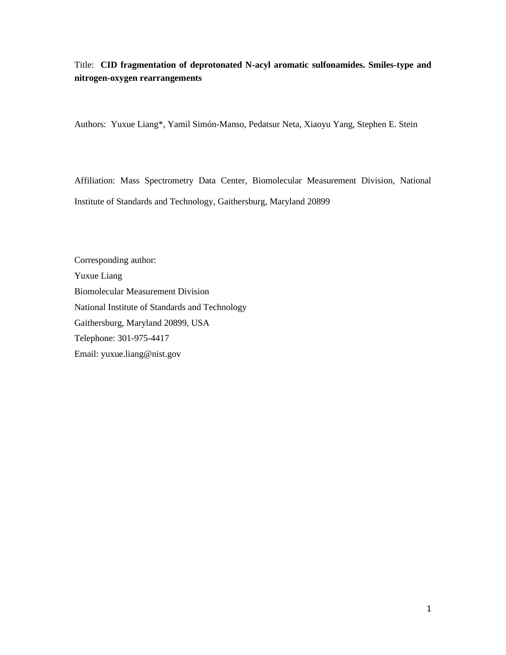Title: **CID fragmentation of deprotonated N-acyl aromatic sulfonamides. Smiles-type and nitrogen-oxygen rearrangements**

Authors: Yuxue Liang\*, Yamil Simón-Manso, Pedatsur Neta, Xiaoyu Yang, Stephen E. Stein

Affiliation: Mass Spectrometry Data Center, Biomolecular Measurement Division, National Institute of Standards and Technology, Gaithersburg, Maryland 20899

Corresponding author: Yuxue Liang Biomolecular Measurement Division National Institute of Standards and Technology Gaithersburg, Maryland 20899, USA Telephone: 301-975-4417 Email: yuxue.liang@nist.gov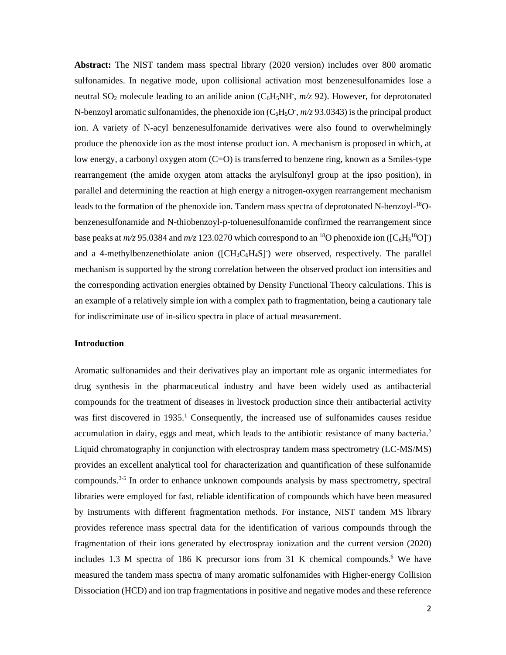**Abstract:** The NIST tandem mass spectral library (2020 version) includes over 800 aromatic sulfonamides. In negative mode, upon collisional activation most benzenesulfonamides lose a neutral SO<sub>2</sub> molecule leading to an anilide anion (C<sub>6</sub>H<sub>5</sub>NH,  $m/z$  92). However, for deprotonated N-benzoyl aromatic sulfonamides, the phenoxide ion  $(C_6H_5O^T, m/z 93.0343)$  is the principal product ion. A variety of N-acyl benzenesulfonamide derivatives were also found to overwhelmingly produce the phenoxide ion as the most intense product ion. A mechanism is proposed in which, at low energy, a carbonyl oxygen atom (C=O) is transferred to benzene ring, known as a Smiles-type rearrangement (the amide oxygen atom attacks the arylsulfonyl group at the ipso position), in parallel and determining the reaction at high energy a nitrogen-oxygen rearrangement mechanism leads to the formation of the phenoxide ion. Tandem mass spectra of deprotonated N-benzoyl-<sup>18</sup>Obenzenesulfonamide and N-thiobenzoyl-p-toluenesulfonamide confirmed the rearrangement since base peaks at  $m/z$  95.0384 and  $m/z$  123.0270 which correspond to an <sup>18</sup>O phenoxide ion ([C<sub>6</sub>H<sub>5</sub><sup>18</sup>O]<sup>-</sup>) and a 4-methylbenzenethiolate anion  $([CH_3C_6H_4S])$  were observed, respectively. The parallel mechanism is supported by the strong correlation between the observed product ion intensities and the corresponding activation energies obtained by Density Functional Theory calculations. This is an example of a relatively simple ion with a complex path to fragmentation, being a cautionary tale for indiscriminate use of in-silico spectra in place of actual measurement.

### **Introduction**

Aromatic sulfonamides and their derivatives play an important role as organic intermediates for drug synthesis in the pharmaceutical industry and have been widely used as antibacterial compounds for the treatment of diseases in livestock production since their antibacterial activity was first discovered in  $1935<sup>1</sup>$  Consequently, the increased use of sulfonamides causes residue accumulation in dairy, eggs and meat, which leads to the antibiotic resistance of many bacteria.<sup>2</sup> Liquid chromatography in conjunction with electrospray tandem mass spectrometry (LC-MS/MS) provides an excellent analytical tool for characterization and quantification of these sulfonamide compounds.<sup>3-5</sup> In order to enhance unknown compounds analysis by mass spectrometry, spectral libraries were employed for fast, reliable identification of compounds which have been measured by instruments with different fragmentation methods. For instance, NIST tandem MS library provides reference mass spectral data for the identification of various compounds through the fragmentation of their ions generated by electrospray ionization and the current version (2020) includes 1.3 M spectra of 186 K precursor ions from 31 K chemical compounds. <sup>6</sup> We have measured the tandem mass spectra of many aromatic sulfonamides with Higher-energy Collision Dissociation (HCD) and ion trap fragmentations in positive and negative modes and these reference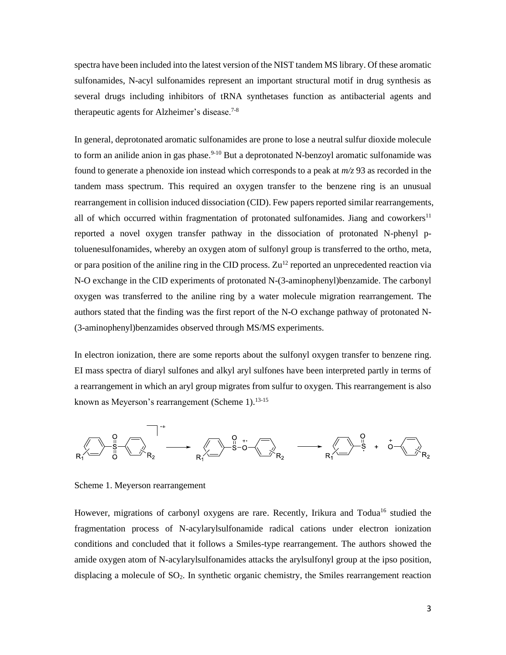spectra have been included into the latest version of the NIST tandem MS library. Of these aromatic sulfonamides, N-acyl sulfonamides represent an important structural motif in drug synthesis as several drugs including inhibitors of tRNA synthetases function as antibacterial agents and therapeutic agents for Alzheimer's disease.7-8

In general, deprotonated aromatic sulfonamides are prone to lose a neutral sulfur dioxide molecule to form an anilide anion in gas phase.<sup>9-10</sup> But a deprotonated N-benzoyl aromatic sulfonamide was found to generate a phenoxide ion instead which corresponds to a peak at *m/z* 93 as recorded in the tandem mass spectrum. This required an oxygen transfer to the benzene ring is an unusual rearrangement in collision induced dissociation (CID). Few papers reported similar rearrangements, all of which occurred within fragmentation of protonated sulfonamides. Jiang and coworkers<sup>11</sup> reported a novel oxygen transfer pathway in the dissociation of protonated N-phenyl ptoluenesulfonamides, whereby an oxygen atom of sulfonyl group is transferred to the ortho, meta, or para position of the aniline ring in the CID process.  $Zu^{12}$  reported an unprecedented reaction via N-O exchange in the CID experiments of protonated N-(3-aminophenyl)benzamide. The carbonyl oxygen was transferred to the aniline ring by a water molecule migration rearrangement. The authors stated that the finding was the first report of the N-O exchange pathway of protonated N- (3-aminophenyl)benzamides observed through MS/MS experiments.

In electron ionization, there are some reports about the sulfonyl oxygen transfer to benzene ring. EI mass spectra of diaryl sulfones and alkyl aryl sulfones have been interpreted partly in terms of a rearrangement in which an aryl group migrates from sulfur to oxygen. This rearrangement is also known as Meyerson's rearrangement (Scheme 1).<sup>13-15</sup>



Scheme 1. Meyerson rearrangement

However, migrations of carbonyl oxygens are rare. Recently, Irikura and Todua<sup>16</sup> studied the fragmentation process of N-acylarylsulfonamide radical cations under electron ionization conditions and concluded that it follows a Smiles-type rearrangement. The authors showed the amide oxygen atom of N-acylarylsulfonamides attacks the arylsulfonyl group at the ipso position, displacing a molecule of SO<sub>2</sub>. In synthetic organic chemistry, the Smiles rearrangement reaction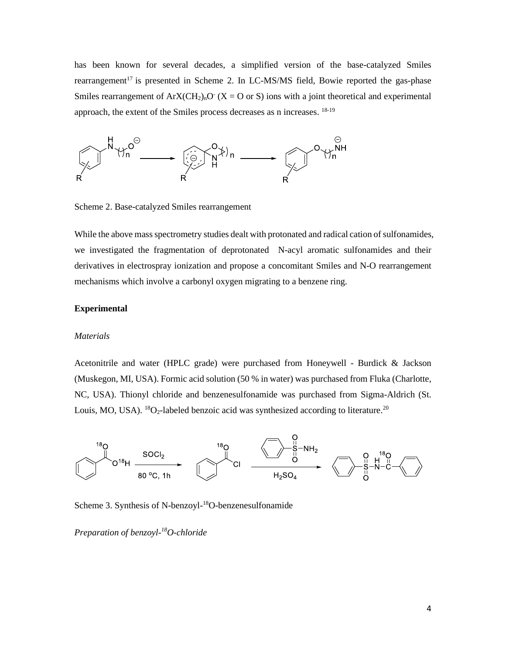has been known for several decades, a simplified version of the base-catalyzed Smiles rearrangement<sup>17</sup> is presented in Scheme 2. In LC-MS/MS field, Bowie reported the gas-phase Smiles rearrangement of  $ArX(CH_2)_nO^T(X = O \text{ or } S)$  ions with a joint theoretical and experimental approach, the extent of the Smiles process decreases as n increases. <sup>18-19</sup>



Scheme 2. Base-catalyzed Smiles rearrangement

While the above mass spectrometry studies dealt with protonated and radical cation of sulfonamides, we investigated the fragmentation of deprotonated N-acyl aromatic sulfonamides and their derivatives in electrospray ionization and propose a concomitant Smiles and N-O rearrangement mechanisms which involve a carbonyl oxygen migrating to a benzene ring.

### **Experimental**

#### *Materials*

Acetonitrile and water (HPLC grade) were purchased from Honeywell - Burdick & Jackson (Muskegon, MI, USA). Formic acid solution (50 % in water) was purchased from Fluka (Charlotte, NC, USA). Thionyl chloride and benzenesulfonamide was purchased from Sigma-Aldrich (St. Louis, MO, USA). <sup>18</sup>O<sub>2</sub>-labeled benzoic acid was synthesized according to literature.<sup>20</sup>



Scheme 3. Synthesis of N-benzoyl-<sup>18</sup>O-benzenesulfonamide

*Preparation of benzoyl-<sup>18</sup>O-chloride*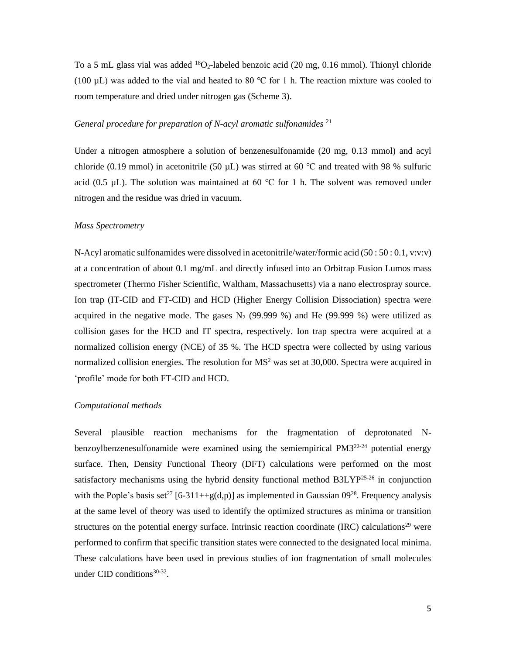To a 5 mL glass vial was added  ${}^{18}O_2$ -labeled benzoic acid (20 mg, 0.16 mmol). Thionyl chloride (100  $\mu$ L) was added to the vial and heated to 80 °C for 1 h. The reaction mixture was cooled to room temperature and dried under nitrogen gas (Scheme 3).

### *General procedure for preparation of N-acyl aromatic sulfonamides* <sup>21</sup>

Under a nitrogen atmosphere a solution of benzenesulfonamide (20 mg, 0.13 mmol) and acyl chloride (0.19 mmol) in acetonitrile (50  $\mu$ L) was stirred at 60 °C and treated with 98 % sulfuric acid (0.5  $\mu$ L). The solution was maintained at 60 °C for 1 h. The solvent was removed under nitrogen and the residue was dried in vacuum.

### *Mass Spectrometry*

N-Acyl aromatic sulfonamides were dissolved in acetonitrile/water/formic acid (50 : 50 : 0.1, v:v:v) at a concentration of about 0.1 mg/mL and directly infused into an Orbitrap Fusion Lumos mass spectrometer (Thermo Fisher Scientific, Waltham, Massachusetts) via a nano electrospray source. Ion trap (IT-CID and FT-CID) and HCD (Higher Energy Collision Dissociation) spectra were acquired in the negative mode. The gases  $N_2$  (99.999 %) and He (99.999 %) were utilized as collision gases for the HCD and IT spectra, respectively. Ion trap spectra were acquired at a normalized collision energy (NCE) of 35 %. The HCD spectra were collected by using various normalized collision energies. The resolution for  $MS<sup>2</sup>$  was set at 30,000. Spectra were acquired in 'profile' mode for both FT-CID and HCD.

### *Computational methods*

Several plausible reaction mechanisms for the fragmentation of deprotonated Nbenzoylbenzenesulfonamide were examined using the semiempirical  $PM3^{22-24}$  potential energy surface. Then, Density Functional Theory (DFT) calculations were performed on the most satisfactory mechanisms using the hybrid density functional method  $B3LYP^{25-26}$  in conjunction with the Pople's basis set<sup>27</sup> [6-311++g(d,p)] as implemented in Gaussian  $0.9^{28}$ . Frequency analysis at the same level of theory was used to identify the optimized structures as minima or transition structures on the potential energy surface. Intrinsic reaction coordinate (IRC) calculations<sup>29</sup> were performed to confirm that specific transition states were connected to the designated local minima. These calculations have been used in previous studies of ion fragmentation of small molecules under CID conditions $30-32$ .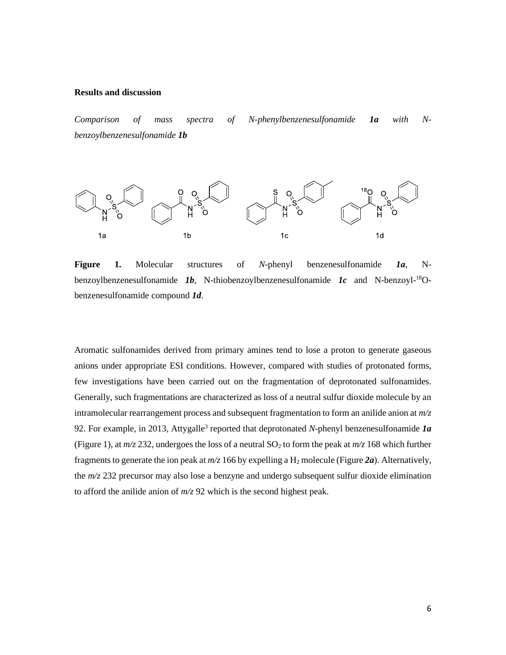### **Results and discussion**

*Comparison of mass spectra of N-phenylbenzenesulfonamide 1a with Nbenzoylbenzenesulfonamide 1b*



**Figure 1.** Molecular structures of *N*-phenyl benzenesulfonamide *1a*, Nbenzoylbenzenesulfonamide *1b*, N-thiobenzoylbenzenesulfonamide *1c* and N-benzoyl-18Obenzenesulfonamide compound *1d*.

Aromatic sulfonamides derived from primary amines tend to lose a proton to generate gaseous anions under appropriate ESI conditions. However, compared with studies of protonated forms, few investigations have been carried out on the fragmentation of deprotonated sulfonamides. Generally, such fragmentations are characterized as loss of a neutral sulfur dioxide molecule by an intramolecular rearrangement process and subsequent fragmentation to form an anilide anion at *m/z* 92. For example, in 2013, Attygalle<sup>3</sup> reported that deprotonated *N*-phenyl benzenesulfonamide *la* (Figure 1), at  $m/z$  232, undergoes the loss of a neutral SO<sub>2</sub> to form the peak at  $m/z$  168 which further fragments to generate the ion peak at  $m/z$  166 by expelling a  $H_2$  molecule (Figure 2*a*). Alternatively, the *m/z* 232 precursor may also lose a benzyne and undergo subsequent sulfur dioxide elimination to afford the anilide anion of *m/z* 92 which is the second highest peak.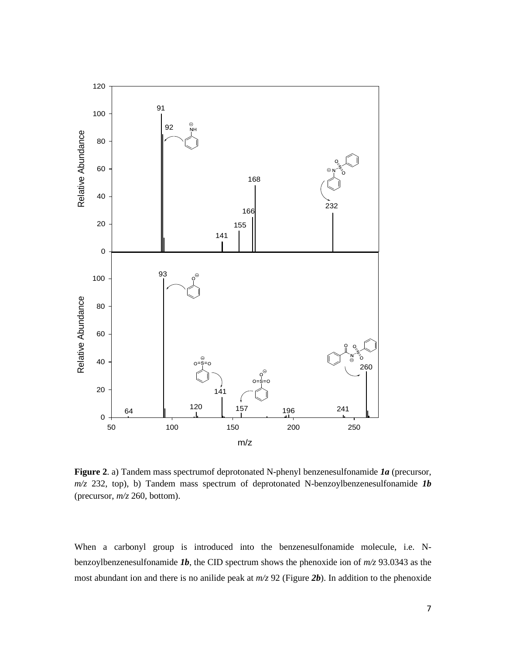

**Figure 2**. a) Tandem mass spectrumof deprotonated N-phenyl benzenesulfonamide *1a* (precursor, *m/z* 232, top), b) Tandem mass spectrum of deprotonated N-benzoylbenzenesulfonamide *1b* (precursor, *m/z* 260, bottom).

When a carbonyl group is introduced into the benzenesulfonamide molecule, i.e. Nbenzoylbenzenesulfonamide *1b*, the CID spectrum shows the phenoxide ion of *m/z* 93.0343 as the most abundant ion and there is no anilide peak at *m/z* 92 (Figure *2b*). In addition to the phenoxide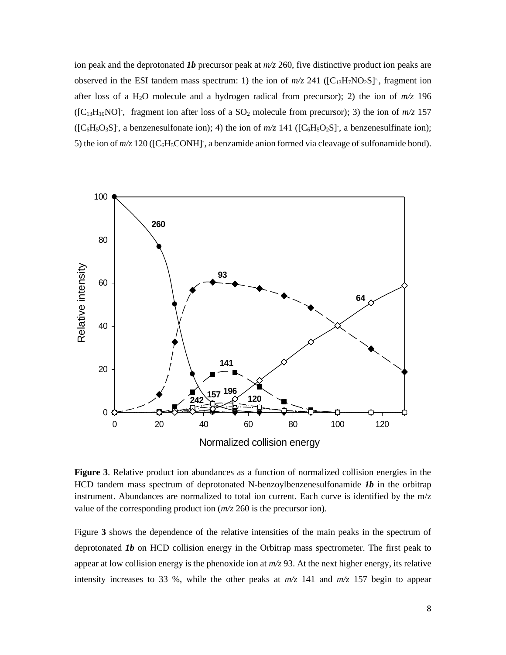ion peak and the deprotonated *1b* precursor peak at *m/z* 260, five distinctive product ion peaks are observed in the ESI tandem mass spectrum: 1) the ion of  $m/z$  241 ( $[C_{13}H_7NO_2S]$ , fragment ion after loss of a H<sub>2</sub>O molecule and a hydrogen radical from precursor); 2) the ion of  $m/z$  196  $([C_{13}H_{10}NO]$ , fragment ion after loss of a  $SO_2$  molecule from precursor); 3) the ion of  $m/z$  157  $( [C_6H_5O_3S]$ , a benzenesulfonate ion); 4) the ion of  $m/z$  141  $( [C_6H_5O_2S]$ , a benzenesulfinate ion); 5) the ion of  $m/z$  120 ([C<sub>6</sub>H<sub>5</sub>CONH]<sup>-</sup>, a benzamide anion formed via cleavage of sulfonamide bond).



**Figure 3**. Relative product ion abundances as a function of normalized collision energies in the HCD tandem mass spectrum of deprotonated N-benzoylbenzenesulfonamide *1b* in the orbitrap instrument. Abundances are normalized to total ion current. Each curve is identified by the m/z value of the corresponding product ion (*m/z* 260 is the precursor ion).

Figure **3** shows the dependence of the relative intensities of the main peaks in the spectrum of deprotonated *1b* on HCD collision energy in the Orbitrap mass spectrometer. The first peak to appear at low collision energy is the phenoxide ion at  $m/z$  93. At the next higher energy, its relative intensity increases to 33 %, while the other peaks at  $m/z$  141 and  $m/z$  157 begin to appear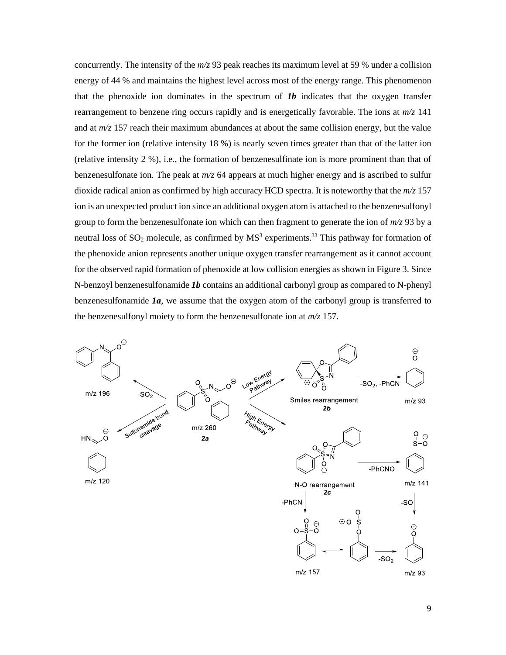concurrently. The intensity of the *m/z* 93 peak reaches its maximum level at 59 % under a collision energy of 44 % and maintains the highest level across most of the energy range. This phenomenon that the phenoxide ion dominates in the spectrum of  $Ib$  indicates that the oxygen transfer rearrangement to benzene ring occurs rapidly and is energetically favorable. The ions at *m/z* 141 and at  $m/z$  157 reach their maximum abundances at about the same collision energy, but the value for the former ion (relative intensity 18 %) is nearly seven times greater than that of the latter ion (relative intensity 2 %), i.e., the formation of benzenesulfinate ion is more prominent than that of benzenesulfonate ion. The peak at *m/z* 64 appears at much higher energy and is ascribed to sulfur dioxide radical anion as confirmed by high accuracy HCD spectra. It is noteworthy that the *m/z* 157 ion is an unexpected product ion since an additional oxygen atom is attached to the benzenesulfonyl group to form the benzenesulfonate ion which can then fragment to generate the ion of *m/z* 93 by a neutral loss of  $SO_2$  molecule, as confirmed by  $MS<sup>3</sup>$  experiments.<sup>33</sup> This pathway for formation of the phenoxide anion represents another unique oxygen transfer rearrangement as it cannot account for the observed rapid formation of phenoxide at low collision energies as shown in Figure 3. Since N-benzoyl benzenesulfonamide *1b* contains an additional carbonyl group as compared to N-phenyl benzenesulfonamide *1a*, we assume that the oxygen atom of the carbonyl group is transferred to the benzenesulfonyl moiety to form the benzenesulfonate ion at *m/z* 157.

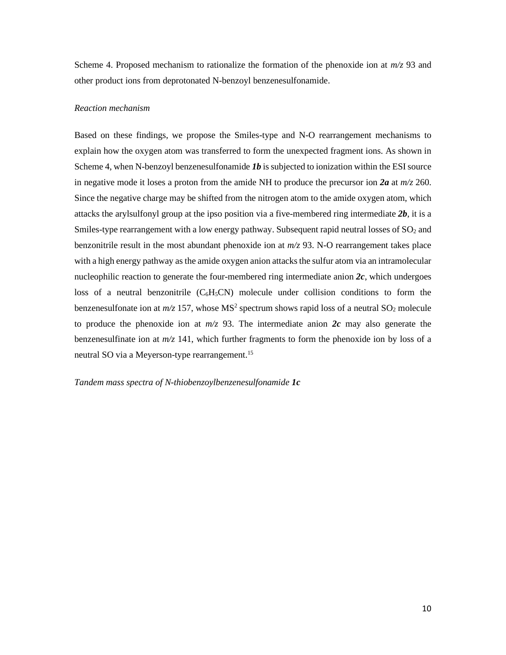Scheme 4. Proposed mechanism to rationalize the formation of the phenoxide ion at  $m/z$  93 and other product ions from deprotonated N-benzoyl benzenesulfonamide.

### *Reaction mechanism*

Based on these findings, we propose the Smiles-type and N-O rearrangement mechanisms to explain how the oxygen atom was transferred to form the unexpected fragment ions. As shown in Scheme 4, when N-benzoyl benzenesulfonamide *1b* is subjected to ionization within the ESI source in negative mode it loses a proton from the amide NH to produce the precursor ion *2a* at *m/z* 260. Since the negative charge may be shifted from the nitrogen atom to the amide oxygen atom, which attacks the arylsulfonyl group at the ipso position via a five-membered ring intermediate *2b*, it is a Smiles-type rearrangement with a low energy pathway. Subsequent rapid neutral losses of  $SO<sub>2</sub>$  and benzonitrile result in the most abundant phenoxide ion at *m/z* 93. N-O rearrangement takes place with a high energy pathway as the amide oxygen anion attacks the sulfur atom via an intramolecular nucleophilic reaction to generate the four-membered ring intermediate anion  $2c$ , which undergoes loss of a neutral benzonitrile  $(C_6H_5CN)$  molecule under collision conditions to form the benzenesulfonate ion at  $m/z$  157, whose  $MS^2$  spectrum shows rapid loss of a neutral  $SO_2$  molecule to produce the phenoxide ion at  $m/z$  93. The intermediate anion 2c may also generate the benzenesulfinate ion at *m/z* 141, which further fragments to form the phenoxide ion by loss of a neutral SO via a Meyerson-type rearrangement.<sup>15</sup>

*Tandem mass spectra of N-thiobenzoylbenzenesulfonamide 1c*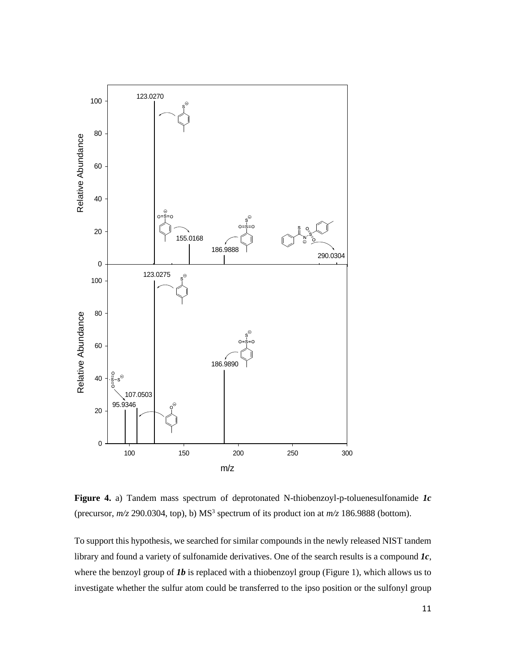

**Figure 4.** a) Tandem mass spectrum of deprotonated N-thiobenzoyl-p-toluenesulfonamide *1c* (precursor,  $m/z$  290.0304, top), b)  $MS<sup>3</sup>$  spectrum of its product ion at  $m/z$  186.9888 (bottom).

To support this hypothesis, we searched for similar compounds in the newly released NIST tandem library and found a variety of sulfonamide derivatives. One of the search results is a compound *1c*, where the benzoyl group of *Ib* is replaced with a thiobenzoyl group (Figure 1), which allows us to investigate whether the sulfur atom could be transferred to the ipso position or the sulfonyl group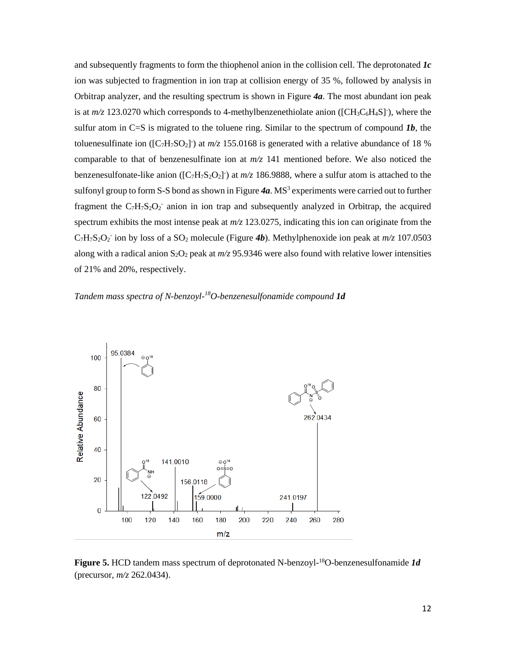and subsequently fragments to form the thiophenol anion in the collision cell. The deprotonated *1c* ion was subjected to fragmention in ion trap at collision energy of 35 %, followed by analysis in Orbitrap analyzer, and the resulting spectrum is shown in Figure *4a*. The most abundant ion peak is at  $m/z$  123.0270 which corresponds to 4-methylbenzenethiolate anion ([CH<sub>3</sub>C<sub>6</sub>H<sub>4</sub>S]<sup>-</sup>), where the sulfur atom in C=S is migrated to the toluene ring. Similar to the spectrum of compound  $1b$ , the toluenesulfinate ion ( $[C_7H_7SO_2]$ ) at  $m/z$  155.0168 is generated with a relative abundance of 18 % comparable to that of benzenesulfinate ion at *m/z* 141 mentioned before. We also noticed the benzenesulfonate-like anion ( $[C_7H_7S_2O_2]$ ) at  $m/z$  186.9888, where a sulfur atom is attached to the sulfonyl group to form S-S bond as shown in Figure 4a. MS<sup>3</sup> experiments were carried out to further fragment the  $C_7H_7S_2O_2$  anion in ion trap and subsequently analyzed in Orbitrap, the acquired spectrum exhibits the most intense peak at *m/z* 123.0275, indicating this ion can originate from the  $C_7H_7S_2O_2$  ion by loss of a SO<sub>2</sub> molecule (Figure **4b**). Methylphenoxide ion peak at  $m/z$  107.0503 along with a radical anion  $S_2O_2$  peak at  $m/z$  95.9346 were also found with relative lower intensities of 21% and 20%, respectively.

# *Tandem mass spectra of N-benzoyl-<sup>18</sup>O-benzenesulfonamide compound 1d*



Figure 5. HCD tandem mass spectrum of deprotonated N-benzoyl-<sup>18</sup>O-benzenesulfonamide *1d* (precursor, *m/z* 262.0434).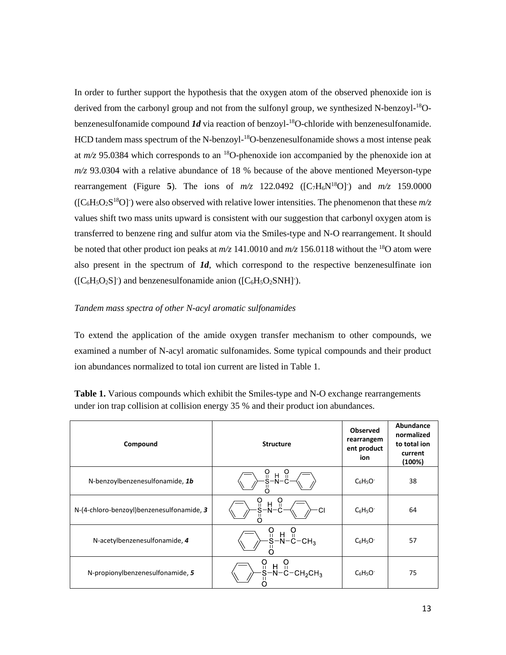In order to further support the hypothesis that the oxygen atom of the observed phenoxide ion is derived from the carbonyl group and not from the sulfonyl group, we synthesized N-benzoyl-<sup>18</sup>Obenzenesulfonamide compound *1d* via reaction of benzoyl-<sup>18</sup>O-chloride with benzenesulfonamide. HCD tandem mass spectrum of the N-benzoyl-<sup>18</sup>O-benzenesulfonamide shows a most intense peak at  $m/z$  95.0384 which corresponds to an <sup>18</sup>O-phenoxide ion accompanied by the phenoxide ion at *m/z* 93.0304 with a relative abundance of 18 % because of the above mentioned Meyerson-type rearrangement (Figure 5). The ions of  $m/z$  122.0492 ([C<sub>7</sub>H<sub>6</sub>N<sup>18</sup>O]<sup>-</sup>) and  $m/z$  159.0000  $([C_6H_5O_2S^{18}O])$  were also observed with relative lower intensities. The phenomenon that these  $m/z$ values shift two mass units upward is consistent with our suggestion that carbonyl oxygen atom is transferred to benzene ring and sulfur atom via the Smiles-type and N-O rearrangement. It should be noted that other product ion peaks at  $m/z$  141.0010 and  $m/z$  156.0118 without the <sup>18</sup>O atom were also present in the spectrum of *1d*, which correspond to the respective benzenesulfinate ion  $([C_6H_5O_2S]$ <sup>-</sup>) and benzenesulfonamide anion  $([C_6H_5O_2SNH]$ <sup>-</sup>).

### *Tandem mass spectra of other N-acyl aromatic sulfonamides*

To extend the application of the amide oxygen transfer mechanism to other compounds, we examined a number of N-acyl aromatic sulfonamides. Some typical compounds and their product ion abundances normalized to total ion current are listed in Table 1.

| Compound                                    | <b>Structure</b>              | <b>Observed</b><br>rearrangem<br>ent product<br>ion | Abundance<br>normalized<br>to total ion<br>current<br>(100%) |
|---------------------------------------------|-------------------------------|-----------------------------------------------------|--------------------------------------------------------------|
| N-benzoylbenzenesulfonamide, 1b             | o<br>S<br>н                   | $C_6H_5O^-$                                         | 38                                                           |
| N-(4-chloro-benzoyl) benzenesul fonamide, 3 | ບ<br>ຊ<br>$\frac{H}{N}$<br>ာ၊ | $C_6H_5O^-$                                         | 64                                                           |
| N-acetylbenzenesulfonamide, 4               |                               | $C_6H_5O^-$                                         | 57                                                           |
| N-propionylbenzenesulfonamide, 5            | ပူ<br>$S-N-C-CH2CH3$          | $C_6H_5O^-$                                         | 75                                                           |

**Table 1.** Various compounds which exhibit the Smiles-type and N-O exchange rearrangements under ion trap collision at collision energy 35 % and their product ion abundances.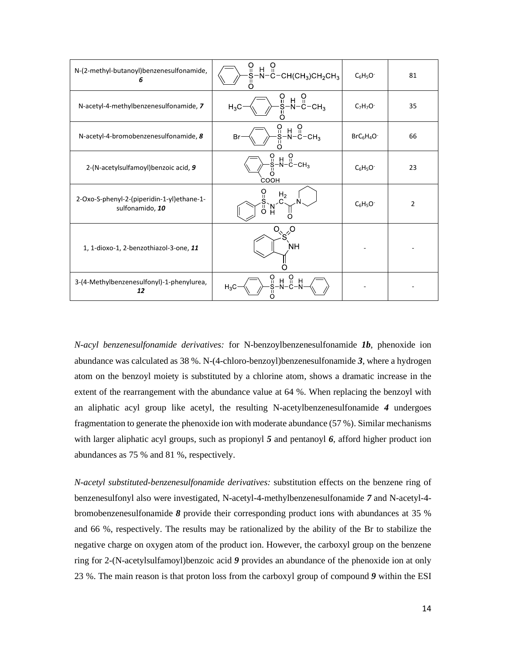| N-(2-methyl-butanoyl)benzenesulfonamide,<br>6                 | $\breve{\mathbf{s}}$<br>H<br>Ū<br>-N-C-CH(CH $_3$ )CH $_2$ CH $_3$ | $C_6H_5O^-$   | 81             |
|---------------------------------------------------------------|--------------------------------------------------------------------|---------------|----------------|
| N-acetyl-4-methylbenzenesulfonamide, 7                        | ဂူ<br>н ∩<br>N−C−CH <sub>3</sub><br>Н<br>$H_3C$                    | $C_7H_7O^-$   | 35             |
| N-acetyl-4-bromobenzenesulfonamide, 8                         | O<br>o<br>s<br>н<br>-N-С-сн $_3$<br>Br                             | $BrC_6H_4O^-$ | 66             |
| 2-(N-acetylsulfamoyl) benzoic acid, 9                         | $S -$<br>$O$<br>-C-CH <sub>3</sub><br>H.<br>COOH                   | $C_6H_5O^-$   | 23             |
| 2-Oxo-S-phenyl-2-(piperidin-1-yl)ethane-1-<br>sulfonamido, 10 | H <sub>2</sub><br>ũ<br>$\overline{0}$<br>N<br>H                    | $C_6H_5O^-$   | $\overline{2}$ |
| 1, 1-dioxo-1, 2-benzothiazol-3-one, 11                        | <b>NH</b>                                                          |               |                |
| 3-(4-Methylbenzenesulfonyl)-1-phenylurea,<br>12               | $\frac{0}{1}$<br>ဂူ<br>H<br>H<br>$H_3C$                            |               |                |

*N-acyl benzenesulfonamide derivatives:* for N-benzoylbenzenesulfonamide *1b*, phenoxide ion abundance was calculated as 38 %. N-(4-chloro-benzoyl)benzenesulfonamide *3*, where a hydrogen atom on the benzoyl moiety is substituted by a chlorine atom, shows a dramatic increase in the extent of the rearrangement with the abundance value at 64 %. When replacing the benzoyl with an aliphatic acyl group like acetyl, the resulting N-acetylbenzenesulfonamide *4* undergoes fragmentation to generate the phenoxide ion with moderate abundance (57 %). Similar mechanisms with larger aliphatic acyl groups, such as propionyl 5 and pentanoyl 6, afford higher product ion abundances as 75 % and 81 %, respectively.

*N-acetyl substituted-benzenesulfonamide derivatives:* substitution effects on the benzene ring of benzenesulfonyl also were investigated, N-acetyl-4-methylbenzenesulfonamide *7* and N-acetyl-4 bromobenzenesulfonamide *8* provide their corresponding product ions with abundances at 35 % and 66 %, respectively. The results may be rationalized by the ability of the Br to stabilize the negative charge on oxygen atom of the product ion. However, the carboxyl group on the benzene ring for 2-(N-acetylsulfamoyl)benzoic acid *9* provides an abundance of the phenoxide ion at only 23 %. The main reason is that proton loss from the carboxyl group of compound *9* within the ESI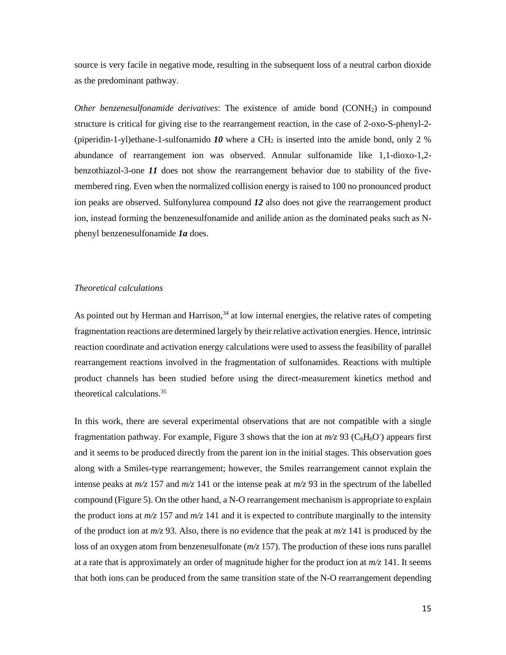source is very facile in negative mode, resulting in the subsequent loss of a neutral carbon dioxide as the predominant pathway.

*Other benzenesulfonamide derivatives*: The existence of amide bond (CONH2) in compound structure is critical for giving rise to the rearrangement reaction, in the case of 2-oxo-S-phenyl-2- (piperidin-1-yl)ethane-1-sulfonamido  $10$  where a CH<sub>2</sub> is inserted into the amide bond, only 2 % abundance of rearrangement ion was observed. Annular sulfonamide like 1,1-dioxo-1,2 benzothiazol-3-one *11* does not show the rearrangement behavior due to stability of the fivemembered ring. Even when the normalized collision energy is raised to 100 no pronounced product ion peaks are observed. Sulfonylurea compound *12* also does not give the rearrangement product ion, instead forming the benzenesulfonamide and anilide anion as the dominated peaks such as Nphenyl benzenesulfonamide *1a* does.

### *Theoretical calculations*

As pointed out by Herman and Harrison, $34$  at low internal energies, the relative rates of competing fragmentation reactions are determined largely by their relative activation energies. Hence, intrinsic reaction coordinate and activation energy calculations were used to assess the feasibility of parallel rearrangement reactions involved in the fragmentation of sulfonamides. Reactions with multiple product channels has been studied before using the direct-measurement kinetics method and theoretical calculations. 35

In this work, there are several experimental observations that are not compatible with a single fragmentation pathway. For example, Figure 3 shows that the ion at  $m/z$  93 ( $C_6H_6O$ ) appears first and it seems to be produced directly from the parent ion in the initial stages. This observation goes along with a Smiles-type rearrangement; however, the Smiles rearrangement cannot explain the intense peaks at  $m/z$  157 and  $m/z$  141 or the intense peak at  $m/z$  93 in the spectrum of the labelled compound (Figure 5). On the other hand, a N-O rearrangement mechanism is appropriate to explain the product ions at  $m/z$  157 and  $m/z$  141 and it is expected to contribute marginally to the intensity of the product ion at  $m/z$  93. Also, there is no evidence that the peak at  $m/z$  141 is produced by the loss of an oxygen atom from benzenesulfonate (*m/z* 157). The production of these ions runs parallel at a rate that is approximately an order of magnitude higher for the product ion at  $m/z$  141. It seems that both ions can be produced from the same transition state of the N-O rearrangement depending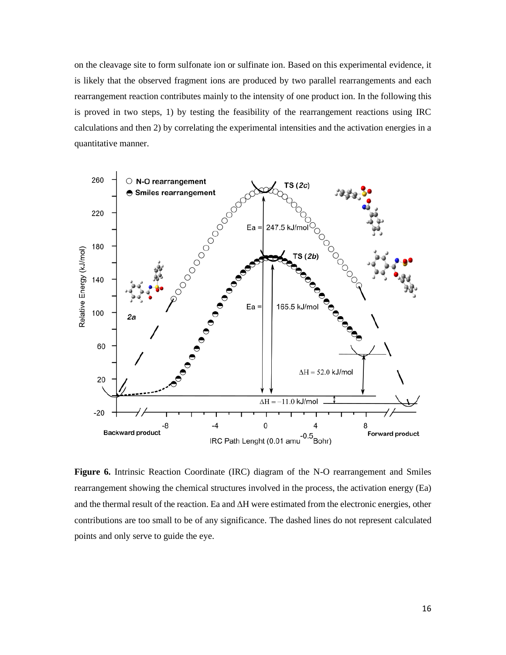on the cleavage site to form sulfonate ion or sulfinate ion. Based on this experimental evidence, it is likely that the observed fragment ions are produced by two parallel rearrangements and each rearrangement reaction contributes mainly to the intensity of one product ion. In the following this is proved in two steps, 1) by testing the feasibility of the rearrangement reactions using IRC calculations and then 2) by correlating the experimental intensities and the activation energies in a quantitative manner.



**Figure 6.** Intrinsic Reaction Coordinate (IRC) diagram of the N-O rearrangement and Smiles rearrangement showing the chemical structures involved in the process, the activation energy (Ea) and the thermal result of the reaction. Ea and  $\Delta H$  were estimated from the electronic energies, other contributions are too small to be of any significance. The dashed lines do not represent calculated points and only serve to guide the eye.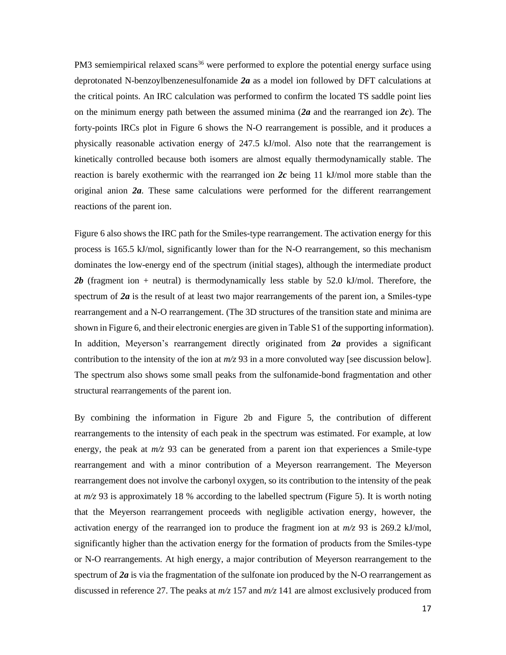PM3 semiempirical relaxed scans<sup>36</sup> were performed to explore the potential energy surface using deprotonated N-benzoylbenzenesulfonamide *2a* as a model ion followed by DFT calculations at the critical points. An IRC calculation was performed to confirm the located TS saddle point lies on the minimum energy path between the assumed minima (*2a* and the rearranged ion *2c*). The forty-points IRCs plot in Figure 6 shows the N-O rearrangement is possible, and it produces a physically reasonable activation energy of 247.5 kJ/mol. Also note that the rearrangement is kinetically controlled because both isomers are almost equally thermodynamically stable. The reaction is barely exothermic with the rearranged ion *2c* being 11 kJ/mol more stable than the original anion *2a*. These same calculations were performed for the different rearrangement reactions of the parent ion.

Figure 6 also shows the IRC path for the Smiles-type rearrangement. The activation energy for this process is 165.5 kJ/mol, significantly lower than for the N-O rearrangement, so this mechanism dominates the low-energy end of the spectrum (initial stages), although the intermediate product 2b (fragment ion + neutral) is thermodynamically less stable by 52.0 kJ/mol. Therefore, the spectrum of **2a** is the result of at least two major rearrangements of the parent ion, a Smiles-type rearrangement and a N-O rearrangement. (The 3D structures of the transition state and minima are shown in Figure 6, and their electronic energies are given in Table S1 of the supporting information). In addition, Meyerson's rearrangement directly originated from *2a* provides a significant contribution to the intensity of the ion at *m/z* 93 in a more convoluted way [see discussion below]. The spectrum also shows some small peaks from the sulfonamide-bond fragmentation and other structural rearrangements of the parent ion.

By combining the information in Figure 2b and Figure 5, the contribution of different rearrangements to the intensity of each peak in the spectrum was estimated. For example, at low energy, the peak at  $m/z$  93 can be generated from a parent ion that experiences a Smile-type rearrangement and with a minor contribution of a Meyerson rearrangement. The Meyerson rearrangement does not involve the carbonyl oxygen, so its contribution to the intensity of the peak at  $m/z$  93 is approximately 18 % according to the labelled spectrum (Figure 5). It is worth noting that the Meyerson rearrangement proceeds with negligible activation energy, however, the activation energy of the rearranged ion to produce the fragment ion at *m/z* 93 is 269.2 kJ/mol, significantly higher than the activation energy for the formation of products from the Smiles-type or N-O rearrangements. At high energy, a major contribution of Meyerson rearrangement to the spectrum of **2a** is via the fragmentation of the sulfonate ion produced by the N-O rearrangement as discussed in reference 27. The peaks at *m/z* 157 and *m/z* 141 are almost exclusively produced from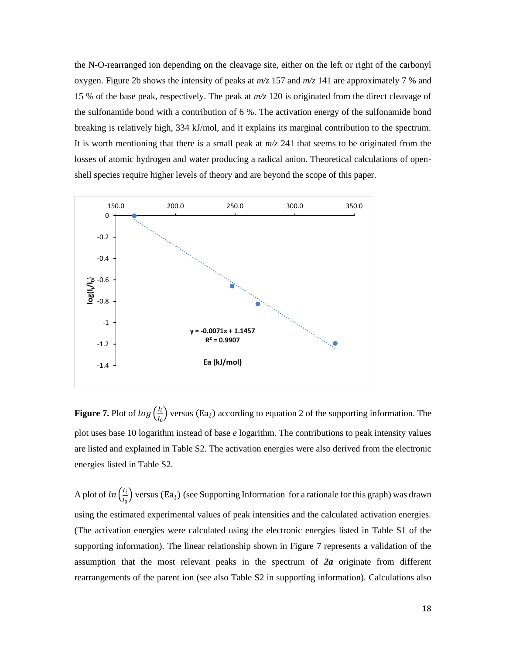the N-O-rearranged ion depending on the cleavage site, either on the left or right of the carbonyl oxygen. Figure 2b shows the intensity of peaks at  $m/z$  157 and  $m/z$  141 are approximately 7 % and 15 % of the base peak, respectively. The peak at *m/z* 120 is originated from the direct cleavage of the sulfonamide bond with a contribution of 6 %. The activation energy of the sulfonamide bond breaking is relatively high, 334 kJ/mol, and it explains its marginal contribution to the spectrum. It is worth mentioning that there is a small peak at *m/z* 241 that seems to be originated from the losses of atomic hydrogen and water producing a radical anion. Theoretical calculations of openshell species require higher levels of theory and are beyond the scope of this paper.



**Figure 7.** Plot of  $log(\frac{I_i}{I_i})$  $\frac{a_1}{a_0}$ ) versus (Ea<sub>i</sub>) according to equation 2 of the supporting information. The plot uses base 10 logarithm instead of base *e* logarithm. The contributions to peak intensity values are listed and explained in Table S2. The activation energies were also derived from the electronic energies listed in Table S2.

A plot of  $\ln\left(\frac{I_i}{I}\right)$  $\frac{I_1}{I_0}$ ) versus (Ea<sub>i</sub>) (see Supporting Information for a rationale for this graph) was drawn using the estimated experimental values of peak intensities and the calculated activation energies. (The activation energies were calculated using the electronic energies listed in Table S1 of the supporting information). The linear relationship shown in Figure 7 represents a validation of the assumption that the most relevant peaks in the spectrum of *2a* originate from different rearrangements of the parent ion (see also Table S2 in supporting information). Calculations also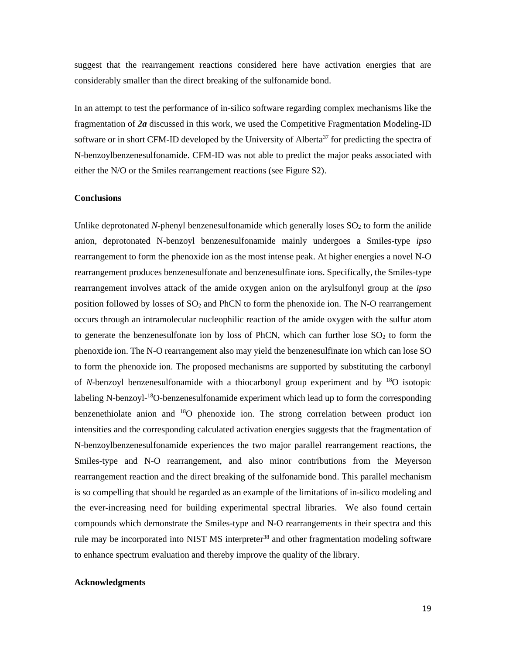suggest that the rearrangement reactions considered here have activation energies that are considerably smaller than the direct breaking of the sulfonamide bond.

In an attempt to test the performance of in-silico software regarding complex mechanisms like the fragmentation of *2a* discussed in this work, we used the Competitive Fragmentation Modeling-ID software or in short CFM-ID developed by the University of Alberta<sup>37</sup> for predicting the spectra of N-benzoylbenzenesulfonamide. CFM-ID was not able to predict the major peaks associated with either the N/O or the Smiles rearrangement reactions (see Figure S2).

### **Conclusions**

Unlike deprotonated *N*-phenyl benzenesulfonamide which generally loses  $SO_2$  to form the anilide anion, deprotonated N-benzoyl benzenesulfonamide mainly undergoes a Smiles-type *ipso* rearrangement to form the phenoxide ion as the most intense peak. At higher energies a novel N-O rearrangement produces benzenesulfonate and benzenesulfinate ions. Specifically, the Smiles-type rearrangement involves attack of the amide oxygen anion on the arylsulfonyl group at the *ipso* position followed by losses of  $SO_2$  and PhCN to form the phenoxide ion. The N-O rearrangement occurs through an intramolecular nucleophilic reaction of the amide oxygen with the sulfur atom to generate the benzenesulfonate ion by loss of PhCN, which can further lose  $SO<sub>2</sub>$  to form the phenoxide ion. The N-O rearrangement also may yield the benzenesulfinate ion which can lose SO to form the phenoxide ion. The proposed mechanisms are supported by substituting the carbonyl of *N*-benzoyl benzenesulfonamide with a thiocarbonyl group experiment and by <sup>18</sup>O isotopic labeling N-benzoyl-<sup>18</sup>O-benzenesulfonamide experiment which lead up to form the corresponding benzenethiolate anion and <sup>18</sup>O phenoxide ion. The strong correlation between product ion intensities and the corresponding calculated activation energies suggests that the fragmentation of N-benzoylbenzenesulfonamide experiences the two major parallel rearrangement reactions, the Smiles-type and N-O rearrangement, and also minor contributions from the Meyerson rearrangement reaction and the direct breaking of the sulfonamide bond. This parallel mechanism is so compelling that should be regarded as an example of the limitations of in-silico modeling and the ever-increasing need for building experimental spectral libraries. We also found certain compounds which demonstrate the Smiles-type and N-O rearrangements in their spectra and this rule may be incorporated into NIST MS interpreter<sup>38</sup> and other fragmentation modeling software to enhance spectrum evaluation and thereby improve the quality of the library.

## **Acknowledgments**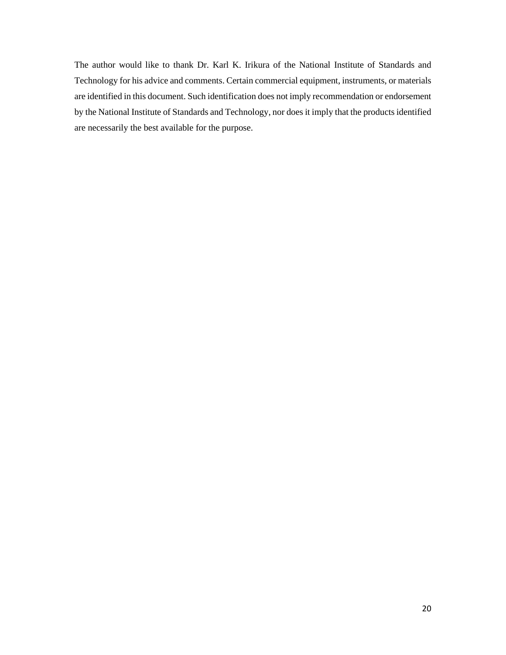The author would like to thank Dr. Karl K. Irikura of the National Institute of Standards and Technology for his advice and comments. Certain commercial equipment, instruments, or materials are identified in this document. Such identification does not imply recommendation or endorsement by the National Institute of Standards and Technology, nor does it imply that the products identified are necessarily the best available for the purpose.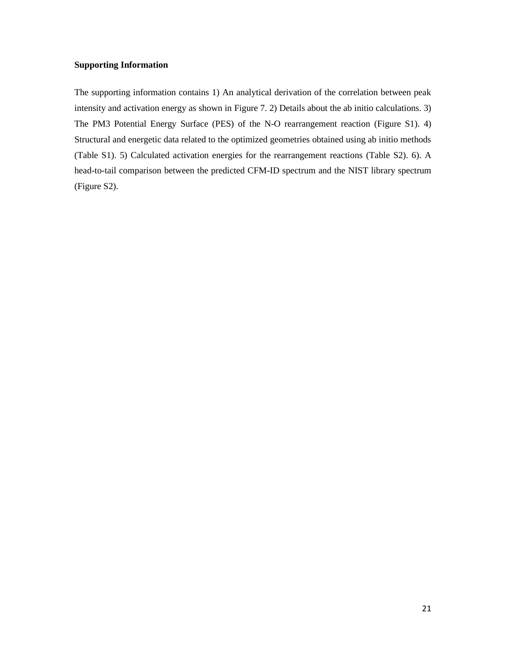## **Supporting Information**

The supporting information contains 1) An analytical derivation of the correlation between peak intensity and activation energy as shown in Figure 7. 2) Details about the ab initio calculations. 3) The PM3 Potential Energy Surface (PES) of the N-O rearrangement reaction (Figure S1). 4) Structural and energetic data related to the optimized geometries obtained using ab initio methods (Table S1). 5) Calculated activation energies for the rearrangement reactions (Table S2). 6). A head-to-tail comparison between the predicted CFM-ID spectrum and the NIST library spectrum (Figure S2).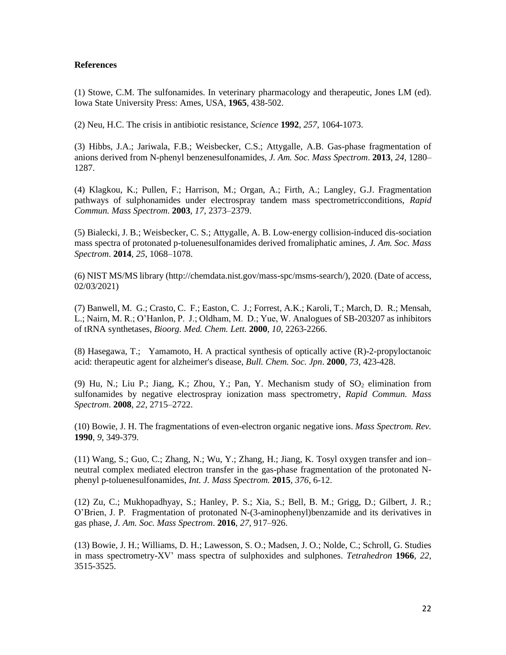## **References**

(1) Stowe, C.M. The sulfonamides. In veterinary pharmacology and therapeutic, Jones LM (ed). Iowa State University Press: Ames, USA, **1965**, 438-502.

(2) Neu, H.C. The crisis in antibiotic resistance, *Science* **1992**, *257*, 1064-1073.

(3) Hibbs, J.A.; Jariwala, F.B.; Weisbecker, C.S.; Attygalle, A.B. Gas-phase fragmentation of anions derived from N-phenyl benzenesulfonamides, *J. Am. Soc. Mass Spectrom*. **2013**, *24*, 1280– 1287.

(4) Klagkou, K.; Pullen, F.; Harrison, M.; Organ, A.; Firth, A.; Langley, G.J. Fragmentation pathways of sulphonamides under electrospray tandem mass spectrometricconditions, *Rapid Commun. Mass Spectrom*. **2003**, *17*, 2373–2379.

(5) Bialecki, J. B.; Weisbecker, C. S.; Attygalle, A. B. Low-energy collision-induced dis-sociation mass spectra of protonated p-toluenesulfonamides derived fromaliphatic amines, *J. Am. Soc. Mass Spectrom*. **2014**, *25*, 1068–1078.

(6) NIST MS/MS library (http://chemdata.nist.gov/mass-spc/msms-search/), 2020. (Date of access, 02/03/2021)

(7) Banwell, M. G.; Crasto, C. F.; Easton, C. J.; Forrest, A.K.; Karoli, T.; March, D. R.; Mensah, L.; Nairn, M. R.; O'Hanlon, P. J.; Oldham, M. D.; Yue, W. Analogues of SB-203207 as inhibitors of tRNA synthetases, *Bioorg. Med. Chem. Lett.* **2000**, *10*, 2263-2266.

(8) Hasegawa, T.; Yamamoto, H. A practical synthesis of optically active (R)-2-propyloctanoic acid: therapeutic agent for alzheimer's disease, *Bull. Chem. Soc. Jpn*. **2000**, *73*, 423-428.

(9) Hu, N.; Liu P.; Jiang, K.; Zhou, Y.; Pan, Y. Mechanism study of  $SO_2$  elimination from sulfonamides by negative electrospray ionization mass spectrometry, *Rapid Commun. Mass Spectrom*. **2008**, *22*, 2715–2722.

(10) Bowie, J. H. The fragmentations of even-electron organic negative ions. *Mass Spectrom. Rev.* **1990**, *9*, 349-379.

(11) Wang, S.; Guo, C.; Zhang, N.; Wu, Y.; Zhang, H.; Jiang, K. Tosyl oxygen transfer and ion– neutral complex mediated electron transfer in the gas-phase fragmentation of the protonated Nphenyl p-toluenesulfonamides, *Int. J. Mass Spectrom.* **2015**, *376*, 6-12.

(12) Zu, C.; Mukhopadhyay, S.; Hanley, P. S.; Xia, S.; Bell, B. M.; Grigg, D.; Gilbert, J. R.; O'Brien, J. P. Fragmentation of protonated N-(3-aminophenyl)benzamide and its derivatives in gas phase, *J. Am. Soc. Mass Spectrom*. **2016**, *27*, 917–926.

(13) Bowie, J. H.; Williams, D. H.; Lawesson, S. O.; Madsen, J. O.; Nolde, C.; Schroll, G. Studies in mass spectrometry-XV' mass spectra of sulphoxides and sulphones. *Tetrahedron* **1966**, *22*, 3515-3525.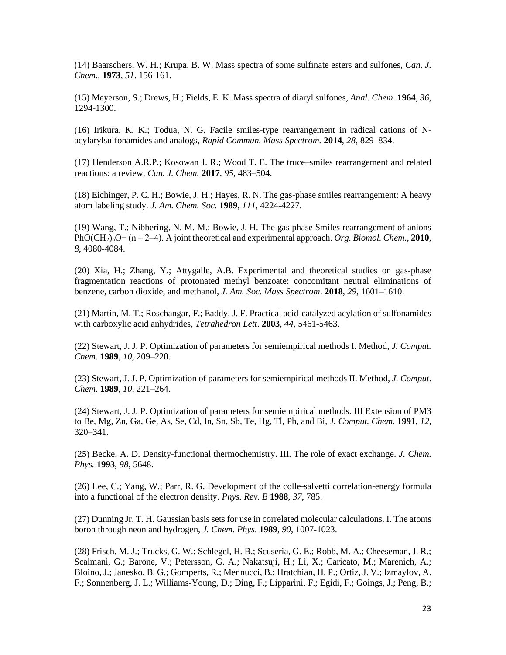(14) Baarschers, W. H.; Krupa, B. W. Mass spectra of some sulfinate esters and sulfones, *Can. J. Chem.*, **1973**, *51*. 156-161.

(15) Meyerson, S.; Drews, H.; Fields, E. K. Mass spectra of diaryl sulfones, *Anal. Chem*. **1964**, *36*, 1294-1300.

(16) Irikura, K. K.; Todua, N. G. Facile smiles-type rearrangement in radical cations of Nacylarylsulfonamides and analogs, *Rapid Commun. Mass Spectrom.* **2014**, *28*, 829–834.

(17) Henderson A.R.P.; Kosowan J. R.; Wood T. E. The truce–smiles rearrangement and related reactions: a review, *Can. J. Chem.* **2017**, *95*, 483–504.

(18) Eichinger, P. C. H.; Bowie, J. H.; Hayes, R. N. The gas-phase smiles rearrangement: A heavy atom labeling study. *J. Am. Chem. Soc.* **1989**, *111*, 4224-4227.

(19) Wang, T.; Nibbering, N. M. M.; Bowie, J. H. The gas phase Smiles rearrangement of anions PhO(CH<sub>2)n</sub>O− (n = 2–4). A joint theoretical and experimental approach. *Org. Biomol. Chem.*, **2010**, *8*, 4080-4084.

(20) Xia, H.; Zhang, Y.; Attygalle, A.B. Experimental and theoretical studies on gas-phase fragmentation reactions of protonated methyl benzoate: concomitant neutral eliminations of benzene, carbon dioxide, and methanol, *J. Am. Soc. Mass Spectrom*. **2018**, *29*, 1601–1610.

(21) Martin, M. T.; Roschangar, F.; Eaddy, J. F. Practical acid-catalyzed acylation of sulfonamides with carboxylic acid anhydrides, *Tetrahedron Lett*. **2003**, *44*, 5461-5463.

(22) Stewart, J. J. P. Optimization of parameters for semiempirical methods I. Method, *J. Comput. Chem*. **1989**, *10*, 209–220.

(23) Stewart, J. J. P. Optimization of parameters for semiempirical methods II. Method, *J. Comput. Chem*. **1989**, *10*, 221–264.

(24) Stewart, J. J. P. Optimization of parameters for semiempirical methods. III Extension of PM3 to Be, Mg, Zn, Ga, Ge, As, Se, Cd, In, Sn, Sb, Te, Hg, Tl, Pb, and Bi, *J. Comput. Chem*. **1991**, *12*, 320–341.

(25) Becke, A. D. Density-functional thermochemistry. III. The role of exact exchange. *J. Chem. Phys.* **1993**, *98*, 5648.

(26) Lee, C.; Yang, W.; Parr, R. G. Development of the colle-salvetti correlation-energy formula into a functional of the electron density. *Phys. Rev. B* **1988**, *37*, 785.

(27) Dunning Jr, T. H. Gaussian basis sets for use in correlated molecular calculations. I. The atoms boron through neon and hydrogen, *J. Chem. Phys*. **1989**, *90*, 1007-1023.

(28) Frisch, M. J.; Trucks, G. W.; Schlegel, H. B.; Scuseria, G. E.; Robb, M. A.; Cheeseman, J. R.; Scalmani, G.; Barone, V.; Petersson, G. A.; Nakatsuji, H.; Li, X.; Caricato, M.; Marenich, A.; Bloino, J.; Janesko, B. G.; Gomperts, R.; Mennucci, B.; Hratchian, H. P.; Ortiz, J. V.; Izmaylov, A. F.; Sonnenberg, J. L.; Williams-Young, D.; Ding, F.; Lipparini, F.; Egidi, F.; Goings, J.; Peng, B.;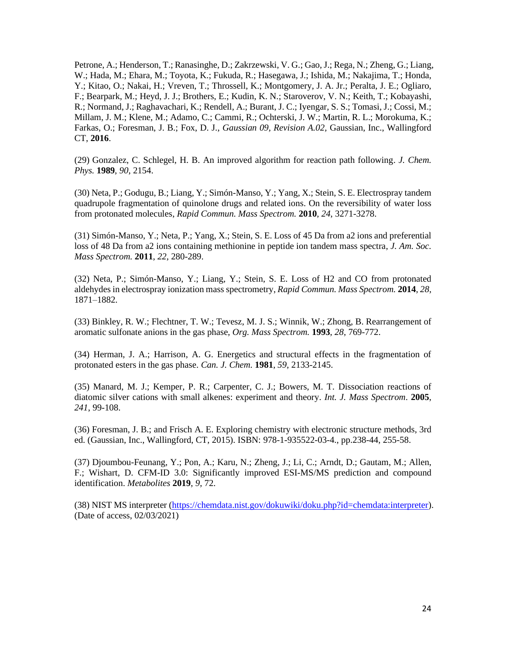Petrone, A.; Henderson, T.; Ranasinghe, D.; Zakrzewski, V. G.; Gao, J.; Rega, N.; Zheng, G.; Liang, W.; Hada, M.; Ehara, M.; Toyota, K.; Fukuda, R.; Hasegawa, J.; Ishida, M.; Nakajima, T.; Honda, Y.; Kitao, O.; Nakai, H.; Vreven, T.; Throssell, K.; Montgomery, J. A. Jr.; Peralta, J. E.; Ogliaro, F.; Bearpark, M.; Heyd, J. J.; Brothers, E.; Kudin, K. N.; Staroverov, V. N.; Keith, T.; Kobayashi, R.; Normand, J.; Raghavachari, K.; Rendell, A.; Burant, J. C.; Iyengar, S. S.; Tomasi, J.; Cossi, M.; Millam, J. M.; Klene, M.; Adamo, C.; Cammi, R.; Ochterski, J. W.; Martin, R. L.; Morokuma, K.; Farkas, O.; Foresman, J. B.; Fox, D. J., *Gaussian 09, Revision A.02,* Gaussian, Inc., Wallingford CT, **2016**.

(29) Gonzalez, C. Schlegel, H. B. An improved algorithm for reaction path following. *J. Chem. Phys.* **1989**, *90*, 2154.

(30) Neta, P.; Godugu, B.; Liang, Y.; Simón-Manso, Y.; Yang, X.; Stein, S. E. Electrospray tandem quadrupole fragmentation of quinolone drugs and related ions. On the reversibility of water loss from protonated molecules, *Rapid Commun. Mass Spectrom.* **2010**, *24*, 3271-3278.

(31) Simón-Manso, Y.; Neta, P.; Yang, X.; Stein, S. E. Loss of 45 Da from a2 ions and preferential loss of 48 Da from a2 ions containing methionine in peptide ion tandem mass spectra, *J. Am. Soc. Mass Spectrom.* **2011**, *22*, 280-289.

(32) Neta, P.; Simón-Manso, Y.; Liang, Y.; Stein, S. E. Loss of H2 and CO from protonated aldehydes in electrospray ionization mass spectrometry, *Rapid Commun. Mass Spectrom.* **2014**, *28*, 1871–1882.

(33) Binkley, R. W.; Flechtner, T. W.; Tevesz, M. J. S.; Winnik, W.; Zhong, B. Rearrangement of aromatic sulfonate anions in the gas phase, *Org. Mass Spectrom.* **1993**, *28*, 769-772.

(34) Herman, J. A.; Harrison, A. G. Energetics and structural effects in the fragmentation of protonated esters in the gas phase. *Can. J. Chem.* **1981**, *59*, 2133-2145.

(35) Manard, M. J.; Kemper, P. R.; Carpenter, C. J.; Bowers, M. T. Dissociation reactions of diatomic silver cations with small alkenes: experiment and theory. *Int. J. Mass Spectrom*. **2005**, *241*, 99-108.

(36) Foresman, J. B.; and Frisch A. E. Exploring chemistry with electronic structure methods, 3rd ed. (Gaussian, Inc., Wallingford, CT, 2015). ISBN: 978-1-935522-03-4., pp.238-44, 255-58.

(37) Djoumbou-Feunang, Y.; Pon, A.; Karu, N.; Zheng, J.; Li, C.; Arndt, D.; Gautam, M.; Allen, F.; Wishart, D. CFM-ID 3.0: Significantly improved ESI-MS/MS prediction and compound identification. *Metabolites* **2019**, *9*, 72.

(38) NIST MS interpreter [\(https://chemdata.nist.gov/dokuwiki/doku.php?id=chemdata:interpreter\)](https://chemdata.nist.gov/dokuwiki/doku.php?id=chemdata:interpreter). (Date of access, 02/03/2021)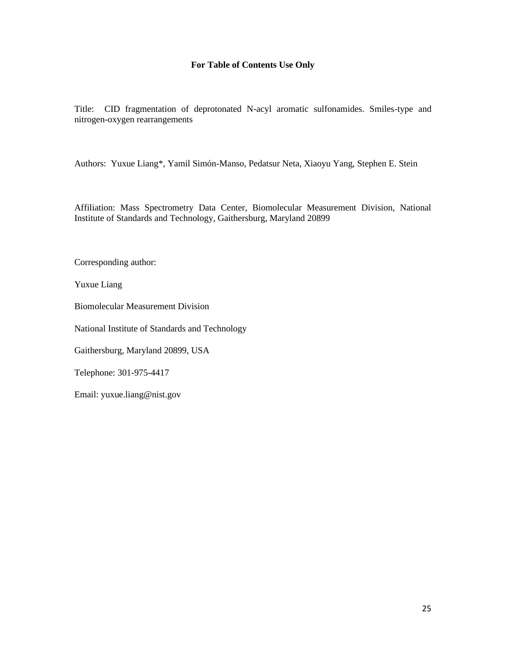## **For Table of Contents Use Only**

Title: CID fragmentation of deprotonated N-acyl aromatic sulfonamides. Smiles-type and nitrogen-oxygen rearrangements

Authors: Yuxue Liang\*, Yamil Simón-Manso, Pedatsur Neta, Xiaoyu Yang, Stephen E. Stein

Affiliation: Mass Spectrometry Data Center, Biomolecular Measurement Division, National Institute of Standards and Technology, Gaithersburg, Maryland 20899

Corresponding author:

Yuxue Liang

Biomolecular Measurement Division

National Institute of Standards and Technology

Gaithersburg, Maryland 20899, USA

Telephone: 301-975-4417

Email: yuxue.liang@nist.gov